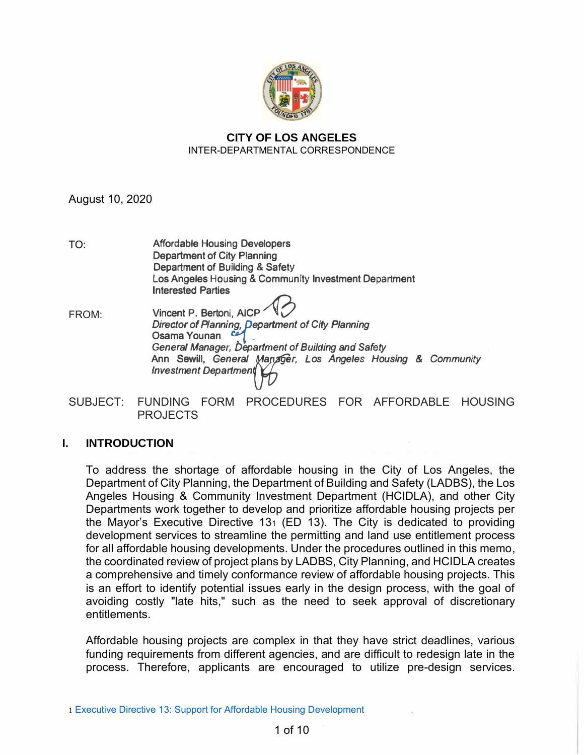

### **CITY OF LOS ANGELES** INTER-DEPARTMENTAL CORRESPONDENCE

August 10, 2020

- **Affordable Housing Developers Department of City Planning Department of Building** & **Safety Los Angeles Housing** & **Community Investment Department Interested Parties** TO:
- *Director of Plannin g, pepartment of City Planning* **Vincent P. Bertoni, AICP** *.* **-0 Osama Younan** *<b>• General Manager, Department of Building and Safety* **Ann Sewill,** *General ([er, Los Angeles Housing* **&** *Community Investment Departmen*  FROM:
- SUBJECT: FUNDING FORM PROCEDURES FOR AFFORDABLE HOUSING PROJECTS

## **I. INTRODUCTION**

To address the shortage of affordable housing in the City of Los Angeles, the Department of City Planning, the Department of Building and Safety (LADBS), the Los Angeles Housing & Community Investment Department (HCIDLA), and other City Departments work together to develop and prioritize affordable housing projects per the Mayor's Executive Directive 131 (ED 13). The City is dedicated to providing development services to streamline the permitting and land use entitlement process for all affordable housing developments. Under the procedures outlined in this memo, the coordinated review of project plans by LADBS, City Planning, and HCIDLA creates a comprehensive and timely conformance review of affordable housing projects. This is an effort to identify potential issues early in the design process, with the goal of avoiding costly "late hits," such as the need to seek approval of discretionary entitlements.

Affordable housing projects are complex in that they have strict deadlines, various funding requirements from different agencies, and are difficult to redesign late in the process. Therefore, applicants are encouraged to utilize pre-design services.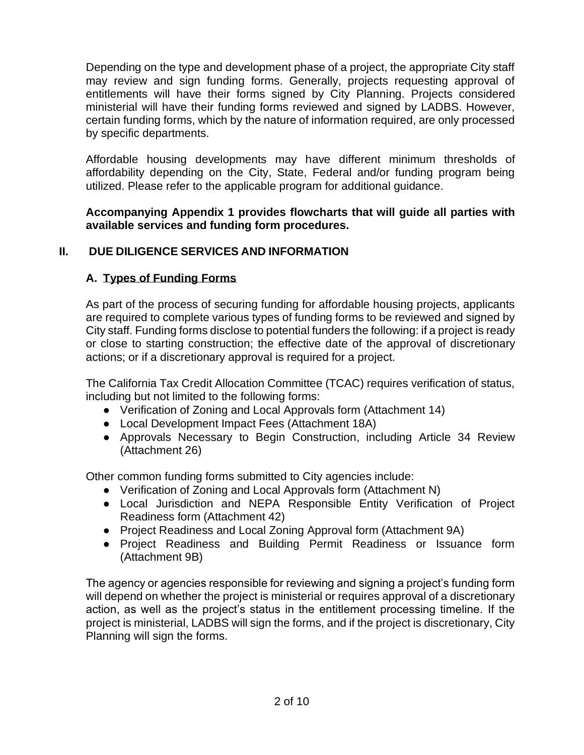Depending on the type and development phase of a project, the appropriate City staff may review and sign funding forms. Generally, projects requesting approval of entitlements will have their forms signed by City Planning. Projects considered ministerial will have their funding forms reviewed and signed by LADBS. However, certain funding forms, which by the nature of information required, are only processed by specific departments.

Affordable housing developments may have different minimum thresholds of affordability depending on the City, State, Federal and/or funding program being utilized. Please refer to the applicable program for additional guidance.

**Accompanying Appendix 1 provides flowcharts that will guide all parties with available services and funding form procedures.** 

## **II. DUE DILIGENCE SERVICES AND INFORMATION**

## **A. Types of Funding Forms**

As part of the process of securing funding for affordable housing projects, applicants are required to complete various types of funding forms to be reviewed and signed by City staff. Funding forms disclose to potential funders the following: if a project is ready or close to starting construction; the effective date of the approval of discretionary actions; or if a discretionary approval is required for a project.

The California Tax Credit Allocation Committee (TCAC) requires verification of status, including but not limited to the following forms:

- Verification of Zoning and Local Approvals form (Attachment 14)
- Local Development Impact Fees (Attachment 18A)
- Approvals Necessary to Begin Construction, including Article 34 Review (Attachment 26)

Other common funding forms submitted to City agencies include:

- Verification of Zoning and Local Approvals form (Attachment N)
- Local Jurisdiction and NEPA Responsible Entity Verification of Project Readiness form (Attachment 42)
- Project Readiness and Local Zoning Approval form (Attachment 9A)
- Project Readiness and Building Permit Readiness or Issuance form (Attachment 9B)

The agency or agencies responsible for reviewing and signing a project's funding form will depend on whether the project is ministerial or requires approval of a discretionary action, as well as the project's status in the entitlement processing timeline. If the project is ministerial, LADBS will sign the forms, and if the project is discretionary, City Planning will sign the forms.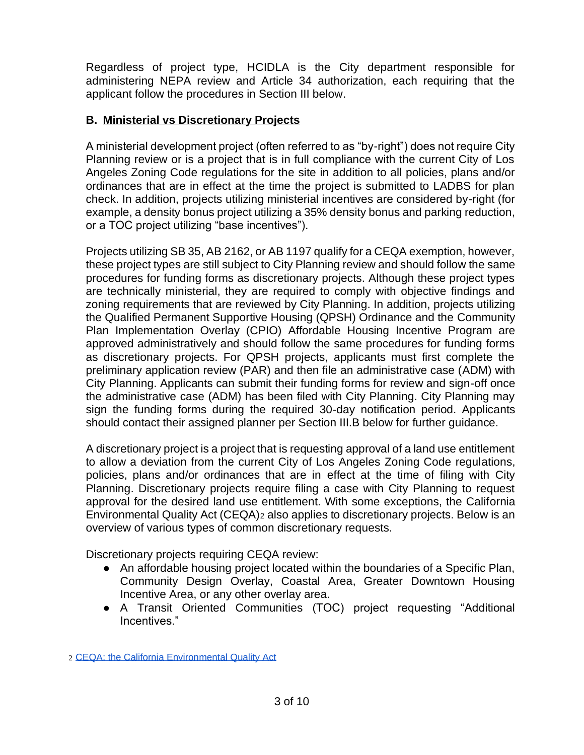Regardless of project type, HCIDLA is the City department responsible for administering NEPA review and Article 34 authorization, each requiring that the applicant follow the procedures in Section III below.

# **B. Ministerial vs Discretionary Projects**

A ministerial development project (often referred to as "by-right") does not require City Planning review or is a project that is in full compliance with the current City of Los Angeles Zoning Code regulations for the site in addition to all policies, plans and/or ordinances that are in effect at the time the project is submitted to LADBS for plan check. In addition, projects utilizing ministerial incentives are considered by-right (for example, a density bonus project utilizing a 35% density bonus and parking reduction, or a TOC project utilizing "base incentives").

Projects utilizing SB 35, AB 2162, or AB 1197 qualify for a CEQA exemption, however, these project types are still subject to City Planning review and should follow the same procedures for funding forms as discretionary projects. Although these project types are technically ministerial, they are required to comply with objective findings and zoning requirements that are reviewed by City Planning. In addition, projects utilizing the Qualified Permanent Supportive Housing (QPSH) Ordinance and the [Community](https://www.laconservancy.org/community-plan-implementation-overlay-district)  [Plan Implementation Overlay \(CPIO\)](https://www.laconservancy.org/community-plan-implementation-overlay-district) Affordable Housing Incentive Program are approved administratively and should follow the same procedures for funding forms as discretionary projects. For QPSH projects, applicants must first complete the preliminary application review (PAR) and then file an administrative case (ADM) with City Planning. Applicants can submit their funding forms for review and sign-off once the administrative case (ADM) has been filed with City Planning. City Planning may sign the funding forms during the required 30-day notification period. Applicants should contact their assigned planner per Section III.B below for further guidance.

A discretionary project is a project that is requesting approval of a land use entitlement to allow a deviation from the current City of Los Angeles Zoning Code regulations, policies, plans and/or ordinances that are in effect at the time of filing with City Planning. Discretionary projects require filing a case with City Planning to request approval for the desired land use entitlement. With some exceptions, the California Environmental Quality Act (CEQA)<sup>2</sup> also applies to discretionary projects. Below is an overview of various types of common discretionary requests.

Discretionary projects requiring CEQA review:

- An affordable housing project located within the boundaries of a Specific Plan, Community Design Overlay, Coastal Area, Greater Downtown Housing Incentive Area, or any other overlay area.
- A Transit Oriented Communities (TOC) project requesting "Additional Incentives."

<sup>2</sup> [CEQA: the California Environmental Quality Act](https://opr.ca.gov/ceqa/)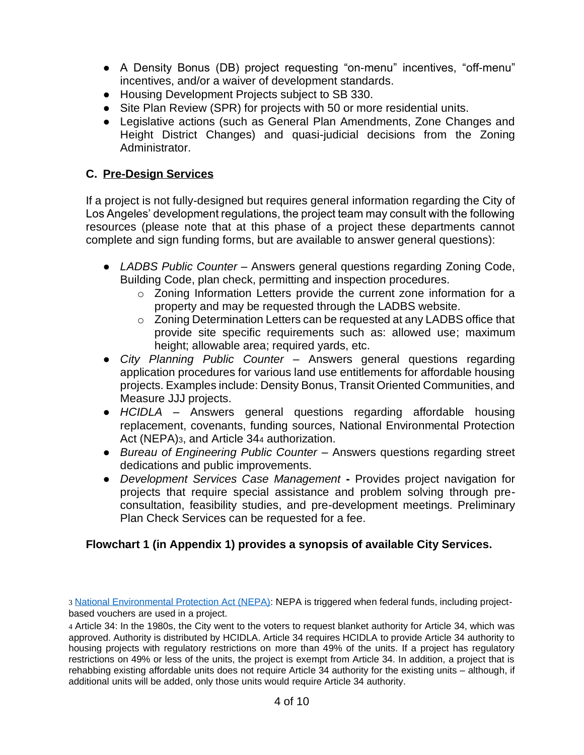- A Density Bonus (DB) project requesting "on-menu" incentives, "off-menu" incentives, and/or a waiver of development standards.
- Housing Development Projects subject to SB 330.
- Site Plan Review (SPR) for projects with 50 or more residential units.
- Legislative actions (such as General Plan Amendments, Zone Changes and Height District Changes) and quasi-judicial decisions from the Zoning Administrator.

# **C. Pre-Design Services**

If a project is not fully-designed but requires general information regarding the City of Los Angeles' development regulations, the project team may consult with the following resources (please note that at this phase of a project these departments cannot complete and sign funding forms, but are available to answer general questions):

- *LADBS Public Counter* Answers general questions regarding Zoning Code, Building Code, plan check, permitting and inspection procedures.
	- o Zoning Information Letters provide the current zone information for a property and may be requested through the LADBS website.
	- o Zoning Determination Letters can be requested at any LADBS office that provide site specific requirements such as: allowed use; maximum height; allowable area; required yards, etc.
- *City Planning Public Counter* Answers general questions regarding application procedures for various land use entitlements for affordable housing projects. Examples include: Density Bonus, Transit Oriented Communities, and Measure JJJ projects.
- *HCIDLA* Answers general questions regarding affordable housing replacement, covenants, funding sources, National Environmental Protection Act (NEPA)3, and Article 34<sup>4</sup> authorization.
- *Bureau of Engineering Public Counter* Answers questions regarding street dedications and public improvements.
- *Development Services Case Management* **-** Provides project navigation for projects that require special assistance and problem solving through preconsultation, feasibility studies, and pre-development meetings. Preliminary Plan Check Services can be requested for a fee.

# **Flowchart 1 (in Appendix 1) provides a synopsis of available City Services.**

<sup>3</sup> [National Environmental Protection Act \(NEPA\):](https://ceq.doe.gov/) NEPA is triggered when federal funds, including projectbased vouchers are used in a project.

<sup>4</sup> Article 34: In the 1980s, the City went to the voters to request blanket authority for Article 34, which was approved. Authority is distributed by HCIDLA. Article 34 requires HCIDLA to provide Article 34 authority to housing projects with regulatory restrictions on more than 49% of the units. If a project has regulatory restrictions on 49% or less of the units, the project is exempt from Article 34. In addition, a project that is rehabbing existing affordable units does not require Article 34 authority for the existing units – although, if additional units will be added, only those units would require Article 34 authority.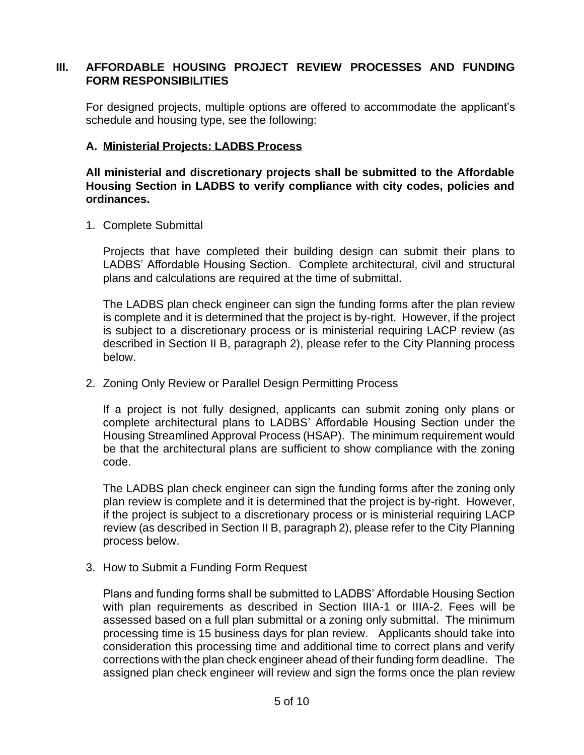#### **III. AFFORDABLE HOUSING PROJECT REVIEW PROCESSES AND FUNDING FORM RESPONSIBILITIES**

For designed projects, multiple options are offered to accommodate the applicant's schedule and housing type, see the following:

### **A. Ministerial Projects: LADBS Process**

**All ministerial and discretionary projects shall be submitted to the Affordable Housing Section in LADBS to verify compliance with city codes, policies and ordinances.** 

1. Complete Submittal

Projects that have completed their building design can submit their plans to LADBS' Affordable Housing Section. Complete architectural, civil and structural plans and calculations are required at the time of submittal.

The LADBS plan check engineer can sign the funding forms after the plan review is complete and it is determined that the project is by-right. However, if the project is subject to a discretionary process or is ministerial requiring LACP review (as described in Section II B, paragraph 2), please refer to the City Planning process below.

2. Zoning Only Review or Parallel Design Permitting Process

If a project is not fully designed, applicants can submit zoning only plans or complete architectural plans to LADBS' Affordable Housing Section under the Housing Streamlined Approval Process (HSAP). The minimum requirement would be that the architectural plans are sufficient to show compliance with the zoning code.

The LADBS plan check engineer can sign the funding forms after the zoning only plan review is complete and it is determined that the project is by-right. However, if the project is subject to a discretionary process or is ministerial requiring LACP review (as described in Section II B, paragraph 2), please refer to the City Planning process below.

3. How to Submit a Funding Form Request

Plans and funding forms shall be submitted to LADBS' Affordable Housing Section with plan requirements as described in Section IIIA-1 or IIIA-2. Fees will be assessed based on a full plan submittal or a zoning only submittal. The minimum processing time is 15 business days for plan review. Applicants should take into consideration this processing time and additional time to correct plans and verify corrections with the plan check engineer ahead of their funding form deadline. The assigned plan check engineer will review and sign the forms once the plan review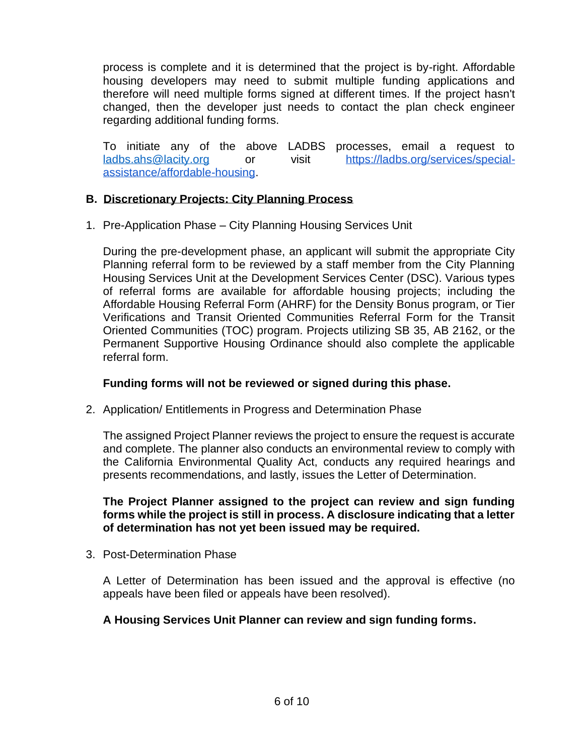process is complete and it is determined that the project is by-right. Affordable housing developers may need to submit multiple funding applications and therefore will need multiple forms signed at different times. If the project hasn't changed, then the developer just needs to contact the plan check engineer regarding additional funding forms.

To initiate any of the above LADBS processes, email a request to [ladbs.ahs@lacity.org](mailto:ladbs.ahs@lacity.org) [or visit](mailto:ladbs.ahs@lacity.org) [https://ladbs.org/services/special](https://ladbs.org/services/special-assistance/affordable-housing)[assistance/affordable-housing.](https://ladbs.org/services/special-assistance/affordable-housing)

### **B. Discretionary Projects: City Planning Process**

1. Pre-Application Phase – City Planning Housing Services Unit

During the pre-development phase, an applicant will submit the appropriate City Planning referral form to be reviewed by a staff member from the City Planning Housing Services Unit at the Development Services Center (DSC). Various types of referral forms are available for affordable housing projects; including the Affordable Housing Referral Form (AHRF) for the Density Bonus program, or Tier Verifications and Transit Oriented Communities Referral Form for the Transit Oriented Communities (TOC) program. Projects utilizing SB 35, AB 2162, or the Permanent Supportive Housing Ordinance should also complete the applicable referral form.

#### **Funding forms will not be reviewed or signed during this phase.**

2. Application/ Entitlements in Progress and Determination Phase

The assigned Project Planner reviews the project to ensure the request is accurate and complete. The planner also conducts an environmental review to comply with the California Environmental Quality Act, conducts any required hearings and presents recommendations, and lastly, issues the Letter of Determination.

**The Project Planner assigned to the project can review and sign funding forms while the project is still in process. A disclosure indicating that a letter of determination has not yet been issued may be required.** 

3. Post-Determination Phase

A Letter of Determination has been issued and the approval is effective (no appeals have been filed or appeals have been resolved).

## **A Housing Services Unit Planner can review and sign funding forms.**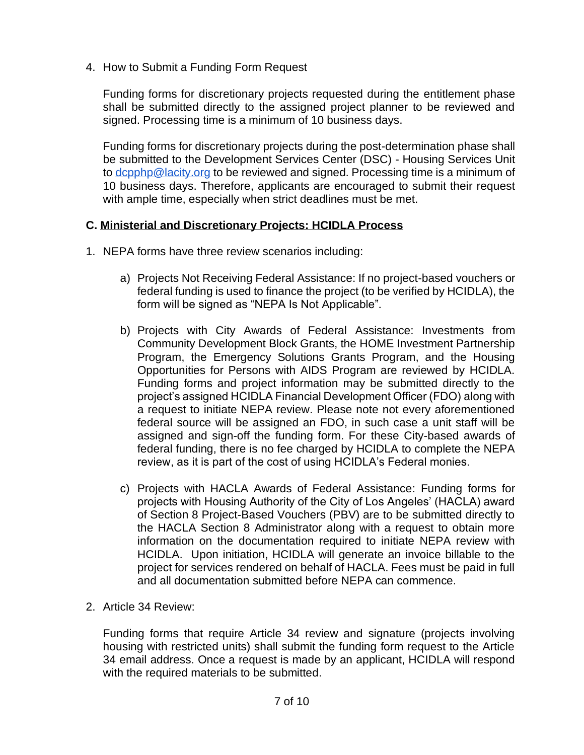4. How to Submit a Funding Form Request

Funding forms for discretionary projects requested during the entitlement phase shall be submitted directly to the assigned project planner to be reviewed and signed. Processing time is a minimum of 10 business days.

Funding forms for discretionary projects during the post-determination phase shall be submitted to the Development Services Center (DSC) - Housing Services Unit to [dcpphp@lacity.org](mailto:dcpphp@lacity.org) to be reviewed and signed. Processing time is a minimum of 10 business days. Therefore, applicants are encouraged to submit their request with ample time, especially when strict deadlines must be met.

#### **C. Ministerial and Discretionary Projects: HCIDLA Process**

- 1. NEPA forms have three review scenarios including:
	- a) Projects Not Receiving Federal Assistance: If no project-based vouchers or federal funding is used to finance the project (to be verified by HCIDLA), the form will be signed as "NEPA Is Not Applicable".
	- b) Projects with City Awards of Federal Assistance: Investments from Community Development Block Grants, the HOME Investment Partnership Program, the Emergency Solutions Grants Program, and the Housing Opportunities for Persons with AIDS Program are reviewed by HCIDLA. Funding forms and project information may be submitted directly to the project's assigned HCIDLA Financial Development Officer (FDO) along with a request to initiate NEPA review. Please note not every aforementioned federal source will be assigned an FDO, in such case a unit staff will be assigned and sign-off the funding form. For these City-based awards of federal funding, there is no fee charged by HCIDLA to complete the NEPA review, as it is part of the cost of using HCIDLA's Federal monies.
	- c) Projects with HACLA Awards of Federal Assistance: Funding forms for projects with Housing Authority of the City of Los Angeles' (HACLA) award of Section 8 Project-Based Vouchers (PBV) are to be submitted directly to the HACLA Section 8 Administrator along with a request to obtain more information on the documentation required to initiate NEPA review with HCIDLA. Upon initiation, HCIDLA will generate an invoice billable to the project for services rendered on behalf of HACLA. Fees must be paid in full and all documentation submitted before NEPA can commence.
- 2. Article 34 Review:

Funding forms that require Article 34 review and signature (projects involving housing with restricted units) shall submit the funding form request to the Article 34 email address. Once a request is made by an applicant, HCIDLA will respond with the required materials to be submitted.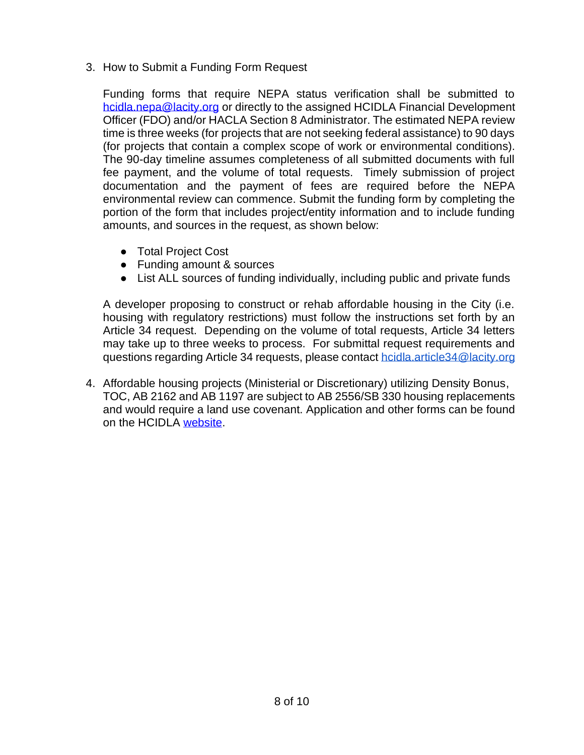3. How to Submit a Funding Form Request

Funding forms that require NEPA status verification shall be submitted to [hcidla.nepa@lacity.org](mailto:hcidla.nepa@lacity.org) or directly to the assigned HCIDLA Financial Development Officer (FDO) and/or HACLA Section 8 Administrator. The estimated NEPA review time is three weeks (for projects that are not seeking federal assistance) to 90 days (for projects that contain a complex scope of work or environmental conditions). The 90-day timeline assumes completeness of all submitted documents with full fee payment, and the volume of total requests. Timely submission of project documentation and the payment of fees are required before the NEPA environmental review can commence. Submit the funding form by completing the portion of the form that includes project/entity information and to include funding amounts, and sources in the request, as shown below:

- Total Project Cost
- Funding amount & sources
- List ALL sources of funding individually, including public and private funds

A developer proposing to construct or rehab affordable housing in the City (i.e. housing with regulatory restrictions) must follow the instructions set forth by an Article 34 request. Depending on the volume of total requests, Article 34 letters may take up to three weeks to process. For submittal request requirements and questions regarding Article 34 requests, please contact [hcidla.article34@lacity.org](mailto:hcidla.article34@lacity.org)

4. Affordable housing projects (Ministerial or Discretionary) utilizing Density Bonus, TOC, AB 2162 and AB 1197 are subject to AB 2556/SB 330 housing replacements and would require a land use covenant. Application and other forms can be found on the HCIDLA [website.](https://hcidla2.lacity.org/land-use-covenants)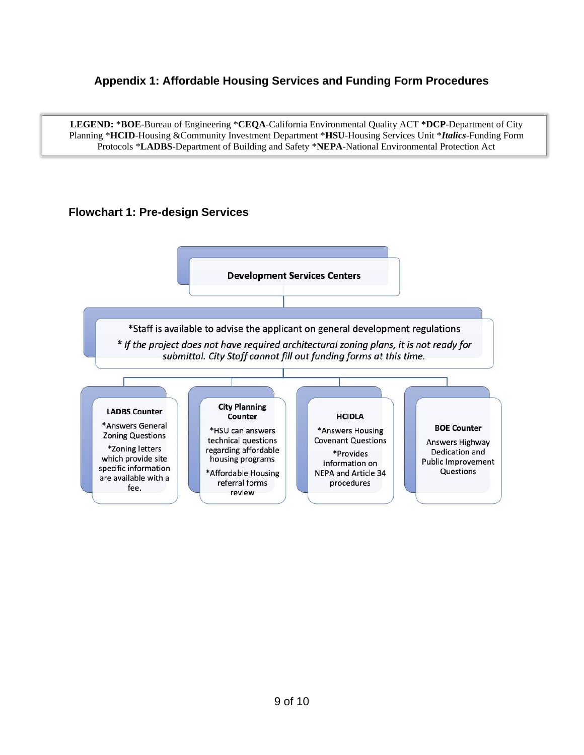### **Appendix 1: Affordable Housing Services and Funding Form Procedures**

**LEGEND:** \***BOE**-Bureau of Engineering \***CEQA**-California Environmental Quality ACT **\*DCP**-Department of City Planning \***HCID**-Housing &Community Investment Department \***HSU**-Housing Services Unit \**Italics*-Funding Form Protocols \***LADBS**-Department of Building and Safety \***NEPA**-National Environmental Protection Act

### **Flowchart 1: Pre-design Services**